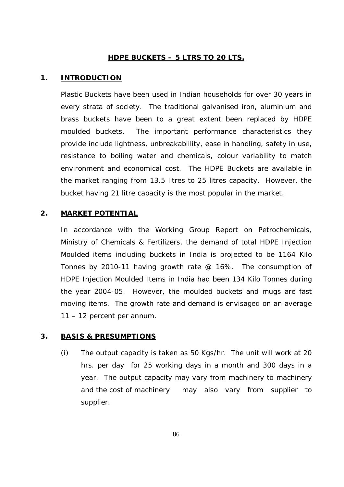#### **HDPE BUCKETS – 5 LTRS TO 20 LTS.**

#### **1. INTRODUCTION**

Plastic Buckets have been used in Indian households for over 30 years in every strata of society. The traditional galvanised iron, aluminium and brass buckets have been to a great extent been replaced by HDPE moulded buckets. The important performance characteristics they provide include lightness, unbreakablility, ease in handling, safety in use, resistance to boiling water and chemicals, colour variability to match environment and economical cost. The HDPE Buckets are available in the market ranging from 13.5 litres to 25 litres capacity. However, the bucket having 21 litre capacity is the most popular in the market.

#### **2. MARKET POTENTIAL**

In accordance with the Working Group Report on Petrochemicals, Ministry of Chemicals & Fertilizers, the demand of total HDPE Injection Moulded items including buckets in India is projected to be 1164 Kilo Tonnes by 2010-11 having growth rate @ 16%. The consumption of HDPE Injection Moulded Items in India had been 134 Kilo Tonnes during the year 2004-05. However, the moulded buckets and mugs are fast moving items. The growth rate and demand is envisaged on an average 11 – 12 percent per annum.

#### **3. BASIS & PRESUMPTIONS**

(i) The output capacity is taken as 50 Kgs/hr. The unit will work at 20 hrs. per day for 25 working days in a month and 300 days in a year. The output capacity may vary from machinery to machinery and the cost of machinery may also vary from supplier to supplier.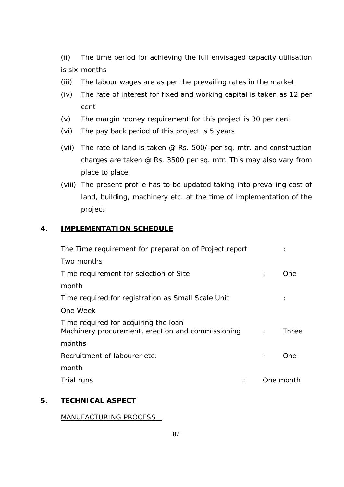(ii) The time period for achieving the full envisaged capacity utilisation is six months

- (iii) The labour wages are as per the prevailing rates in the market
- (iv) The rate of interest for fixed and working capital is taken as 12 per cent
- (v) The margin money requirement for this project is 30 per cent
- (vi) The pay back period of this project is 5 years
- (vii) The rate of land is taken @ Rs. 500/-per sq. mtr. and construction charges are taken @ Rs. 3500 per sq. mtr. This may also vary from place to place.
- (viii) The present profile has to be updated taking into prevailing cost of land, building, machinery etc. at the time of implementation of the project

#### **4. IMPLEMENTATION SCHEDULE**

| The Time requirement for preparation of Project report                                    |                      |           |
|-------------------------------------------------------------------------------------------|----------------------|-----------|
| Two months                                                                                |                      |           |
| Time requirement for selection of Site                                                    |                      | One.      |
| month                                                                                     |                      |           |
| Time required for registration as Small Scale Unit                                        |                      |           |
| One Week                                                                                  |                      |           |
| Time required for acquiring the loan<br>Machinery procurement, erection and commissioning | <b>Contractor</b>    | Three     |
| months                                                                                    |                      |           |
| Recruitment of labourer etc.                                                              | $\ddot{\phantom{a}}$ | One       |
| month                                                                                     |                      |           |
| Trial runs                                                                                |                      | One month |
|                                                                                           |                      |           |

#### **5. TECHNICAL ASPECT**

MANUFACTURING PROCESS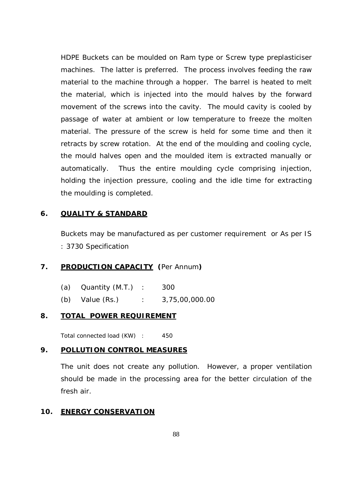HDPE Buckets can be moulded on Ram type or Screw type preplasticiser machines. The latter is preferred. The process involves feeding the raw material to the machine through a hopper. The barrel is heated to melt the material, which is injected into the mould halves by the forward movement of the screws into the cavity. The mould cavity is cooled by passage of water at ambient or low temperature to freeze the molten material. The pressure of the screw is held for some time and then it retracts by screw rotation. At the end of the moulding and cooling cycle, the mould halves open and the moulded item is extracted manually or automatically. Thus the entire moulding cycle comprising injection, holding the injection pressure, cooling and the idle time for extracting the moulding is completed.

#### **6. QUALITY & STANDARD**

Buckets may be manufactured as per customer requirement or As per IS : 3730 Specification

### **7. PRODUCTION CAPACITY (**Per Annum**)**

|     | (a) $\alpha$ Quantity (M.T.) | 300            |
|-----|------------------------------|----------------|
| (b) | Value (Rs.)                  | 3,75,00,000.00 |

#### **8. TOTAL POWER REQUIREMENT**

Total connected load (KW) : 450

#### **9. POLLUTION CONTROL MEASURES**

The unit does not create any pollution. However, a proper ventilation should be made in the processing area for the better circulation of the fresh air.

#### **10. ENERGY CONSERVATION**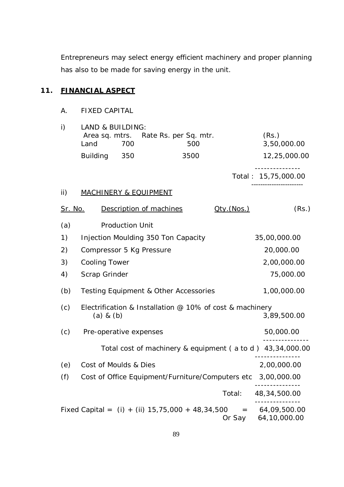Entrepreneurs may select energy efficient machinery and proper planning has also to be made for saving energy in the unit.

## **11. FINANCIAL ASPECT**

A. FIXED CAPITAL

| i)             | LAND & BUILDING:<br>Land | 700                    | Area sq. mtrs. Rate Rs. per Sq. mtr.<br>500                       |            | (Rs.)<br>3,50,000.00      |
|----------------|--------------------------|------------------------|-------------------------------------------------------------------|------------|---------------------------|
|                | <b>Building</b>          | 350                    | 3500                                                              |            | 12,25,000.00              |
|                |                          |                        |                                                                   |            | Total: 15,75,000.00       |
| ii)            |                          |                        | <b>MACHINERY &amp; EQUIPMENT</b>                                  |            |                           |
| <u>Sr. No.</u> |                          |                        | Description of machines                                           | Qty.(Nos.) | (Rs.)                     |
| (a)            |                          | <b>Production Unit</b> |                                                                   |            |                           |
| 1)             |                          |                        | Injection Moulding 350 Ton Capacity                               |            | 35,00,000.00              |
| 2)             | Compressor 5 Kg Pressure |                        |                                                                   |            | 20,000.00                 |
| 3)             | <b>Cooling Tower</b>     |                        |                                                                   |            | 2,00,000.00               |
| 4)             | Scrap Grinder            |                        |                                                                   |            | 75,000.00                 |
| (b)            |                          |                        | <b>Testing Equipment &amp; Other Accessories</b>                  |            | 1,00,000.00               |
| (c)            | $(a)$ & $(b)$            |                        | Electrification & Installation @ 10% of cost & machinery          |            | 3,89,500.00               |
| (c)            | Pre-operative expenses   |                        |                                                                   |            | 50,000.00                 |
|                |                          |                        | Total cost of machinery & equipment (a to d) 43,34,000.00         |            |                           |
| (e)            | Cost of Moulds & Dies    |                        |                                                                   |            | ----------<br>2,00,000.00 |
| (f)            |                          |                        | Cost of Office Equipment/Furniture/Computers etc 3,00,000.00      |            |                           |
|                |                          |                        |                                                                   | Total:     | 48, 34, 500.00            |
|                |                          |                        | Fixed Capital = $(i) + (ii) 15,75,000 + 48,34,500 = 64,09,500.00$ |            | Or Say 64,10,000.00       |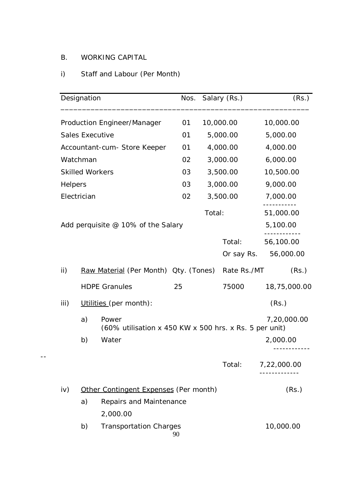## B. WORKING CAPITAL

--

# i) Staff and Labour (Per Month)

|                 | Designation |                                                                 | Nos. | Salary (Rs.) |             | (Rs.)        |
|-----------------|-------------|-----------------------------------------------------------------|------|--------------|-------------|--------------|
|                 |             | Production Engineer/Manager                                     | 01   | 10,000.00    |             | 10,000.00    |
|                 |             | <b>Sales Executive</b>                                          | 01   | 5,000.00     |             | 5,000.00     |
|                 |             | Accountant-cum- Store Keeper                                    | 01   | 4,000.00     |             | 4,000.00     |
|                 | Watchman    |                                                                 | 02   | 3,000.00     |             | 6,000.00     |
|                 |             | <b>Skilled Workers</b>                                          | 03   | 3,500.00     |             | 10,500.00    |
| Helpers         |             |                                                                 | 03   | 3,000.00     |             | 9,000.00     |
|                 | Electrician |                                                                 | 02   | 3,500.00     |             | 7,000.00     |
|                 |             |                                                                 |      | Total:       |             | 51,000.00    |
|                 |             | Add perquisite @ 10% of the Salary                              |      |              |             | 5,100.00     |
|                 |             |                                                                 |      |              | Total:      | 56,100.00    |
|                 |             |                                                                 |      |              | Or say Rs.  | 56,000.00    |
| $\mathsf{ii}$ ) |             | Raw Material (Per Month) Qty. (Tones)                           |      |              | Rate Rs./MT | (Rs.)        |
|                 |             | <b>HDPE Granules</b>                                            | 25   |              | 75000       | 18,75,000.00 |
| iii)            |             | Utilities (per month):                                          |      |              |             | (Rs.)        |
|                 | a)          | Power<br>(60% utilisation x 450 KW x 500 hrs. x Rs. 5 per unit) |      |              |             | 7,20,000.00  |
|                 | b)          | Water                                                           |      |              |             | 2,000.00     |
|                 |             |                                                                 |      |              | Total:      | 7,22,000.00  |
| iv)             |             | Other Contingent Expenses (Per month)                           |      |              |             | (Rs.)        |
|                 | a)          | Repairs and Maintenance                                         |      |              |             |              |
|                 |             | 2,000.00                                                        |      |              |             |              |
|                 | b)          | <b>Transportation Charges</b>                                   | 90   |              |             | 10,000.00    |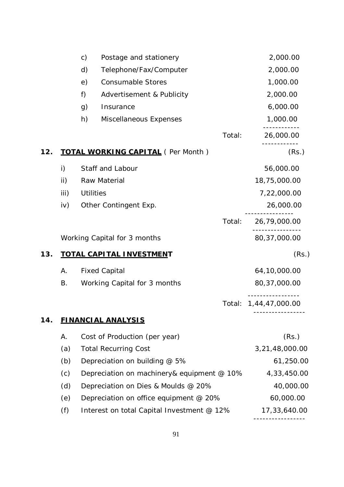|     |              | c)               | Postage and stationery                     | 2,000.00       |
|-----|--------------|------------------|--------------------------------------------|----------------|
|     |              | d)               | Telephone/Fax/Computer                     | 2,000.00       |
|     |              | e)               | <b>Consumable Stores</b>                   | 1,000.00       |
|     |              | f)               | Advertisement & Publicity                  | 2,000.00       |
|     |              | g)               | Insurance                                  | 6,000.00       |
|     |              | h)               | Miscellaneous Expenses                     | 1,000.00       |
|     |              |                  | Total:                                     | 26,000.00      |
| 12. |              |                  | <b>TOTAL WORKING CAPITAL</b> (Per Month)   | (Rs.)          |
|     | $\mathsf{i}$ |                  | Staff and Labour                           | 56,000.00      |
|     | ii)          |                  | Raw Material                               | 18,75,000.00   |
|     | iii)         | <b>Utilities</b> |                                            | 7,22,000.00    |
|     | iv)          |                  | Other Contingent Exp.                      | 26,000.00      |
|     |              |                  | Total:                                     | 26,79,000.00   |
|     |              |                  | Working Capital for 3 months               | 80, 37, 000.00 |
| 13. |              |                  | <b>TOTAL CAPITAL INVESTMENT</b>            | (Rs.)          |
|     | А.           |                  | <b>Fixed Capital</b>                       | 64,10,000.00   |
|     | Β.           |                  | Working Capital for 3 months               | 80, 37, 000.00 |
|     |              |                  | Total:                                     | 1,44,47,000.00 |
| 14. |              |                  | <b>FINANCIAL ANALYSIS</b>                  |                |
|     | А.           |                  | Cost of Production (per year)              | (Rs.)          |
|     | (a)          |                  | <b>Total Recurring Cost</b>                | 3,21,48,000.00 |
|     | (b)          |                  | Depreciation on building @ 5%              | 61,250.00      |
|     | (c)          |                  | Depreciation on machinery& equipment @ 10% | 4,33,450.00    |
|     | (d)          |                  | Depreciation on Dies & Moulds @ 20%        | 40,000.00      |
|     | (e)          |                  | Depreciation on office equipment @ 20%     | 60,000.00      |
|     | (f)          |                  | Interest on total Capital Investment @ 12% | 17,33,640.00   |
|     |              |                  |                                            |                |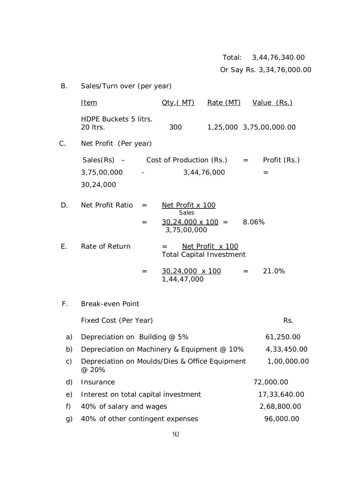Total: 3,44,76,340.00

Or Say Rs. 3,34,76,000.00

| В.            | Sales/Turn over (per year)                                                                         |                                                                      |                  |                         |
|---------------|----------------------------------------------------------------------------------------------------|----------------------------------------------------------------------|------------------|-------------------------|
|               | <u>Item</u>                                                                                        | <u> Oty ( MT)</u>                                                    | Rate (MT)        | Value (Rs.)             |
|               | HDPE Buckets 5 litrs.<br>20 Itrs.                                                                  | 300                                                                  |                  | 1,25,000 3,75,00,000.00 |
| C.            | Net Profit (Per year)                                                                              |                                                                      |                  |                         |
|               | $Sales(Rs)$ – Cost of Production $(Rs.)$ =<br>3,75,00,000<br><b>Contract Contract</b><br>30,24,000 | 3,44,76,000                                                          |                  | Profit (Rs.)<br>$=$     |
| D.            | Net Profit Ratio<br>$=$<br>$=$                                                                     | Net Profit x 100<br>Sales<br>$30,24,000 \times 100 =$<br>3,75,00,000 |                  | 8.06%                   |
| Ε.            | Rate of Return                                                                                     | $=$<br><b>Total Capital Investment</b>                               | Net Profit x 100 |                         |
|               | $=$                                                                                                | 30,24,000 x 100<br>1,44,47,000                                       |                  | 21.0%<br>$=$ $-$        |
| $F_{\perp}$   | Break-even Point                                                                                   |                                                                      |                  |                         |
|               | Fixed Cost (Per Year)                                                                              |                                                                      |                  | Rs.                     |
| a)            | Depreciation on Building @ 5%                                                                      |                                                                      |                  | 61,250.00               |
| b)            | Depreciation on Machinery & Equipment @ 10%                                                        |                                                                      |                  | 4,33,450.00             |
| $\mathsf{c})$ | Depreciation on Moulds/Dies & Office Equipment<br>@ 20%                                            |                                                                      |                  | 1,00,000.00             |
| d)            | Insurance                                                                                          |                                                                      |                  | 72,000.00               |
| e)            | Interest on total capital investment                                                               |                                                                      |                  | 17,33,640.00            |
| f)            | 40% of salary and wages                                                                            |                                                                      |                  | 2,68,800.00             |
| g)            | 40% of other contingent expenses                                                                   |                                                                      |                  | 96,000.00               |